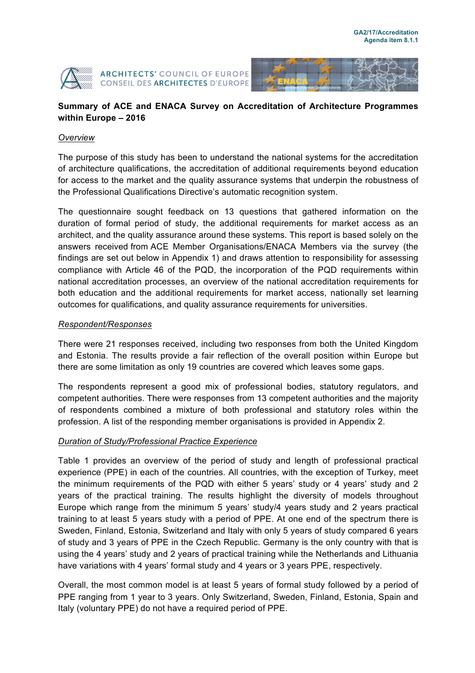



## **Summary of ACE and ENACA Survey on Accreditation of Architecture Programmes within Europe – 2016**

#### *Overview*

The purpose of this study has been to understand the national systems for the accreditation of architecture qualifications, the accreditation of additional requirements beyond education for access to the market and the quality assurance systems that underpin the robustness of the Professional Qualifications Directive's automatic recognition system.

The questionnaire sought feedback on 13 questions that gathered information on the duration of formal period of study, the additional requirements for market access as an architect, and the quality assurance around these systems. This report is based solely on the answers received from ACE Member Organisations/ENACA Members via the survey (the findings are set out below in Appendix 1) and draws attention to responsibility for assessing compliance with Article 46 of the PQD, the incorporation of the PQD requirements within national accreditation processes, an overview of the national accreditation requirements for both education and the additional requirements for market access, nationally set learning outcomes for qualifications, and quality assurance requirements for universities.

#### *Respondent/Responses*

There were 21 responses received, including two responses from both the United Kingdom and Estonia. The results provide a fair reflection of the overall position within Europe but there are some limitation as only 19 countries are covered which leaves some gaps.

The respondents represent a good mix of professional bodies, statutory regulators, and competent authorities. There were responses from 13 competent authorities and the majority of respondents combined a mixture of both professional and statutory roles within the profession. A list of the responding member organisations is provided in Appendix 2.

#### *Duration of Study/Professional Practice Experience*

Table 1 provides an overview of the period of study and length of professional practical experience (PPE) in each of the countries. All countries, with the exception of Turkey, meet the minimum requirements of the PQD with either 5 years' study or 4 years' study and 2 years of the practical training. The results highlight the diversity of models throughout Europe which range from the minimum 5 years' study/4 years study and 2 years practical training to at least 5 years study with a period of PPE. At one end of the spectrum there is Sweden, Finland, Estonia, Switzerland and Italy with only 5 years of study compared 6 years of study and 3 years of PPE in the Czech Republic. Germany is the only country with that is using the 4 years' study and 2 years of practical training while the Netherlands and Lithuania have variations with 4 years' formal study and 4 years or 3 years PPE, respectively.

Overall, the most common model is at least 5 years of formal study followed by a period of PPE ranging from 1 year to 3 years. Only Switzerland, Sweden, Finland, Estonia, Spain and Italy (voluntary PPE) do not have a required period of PPE.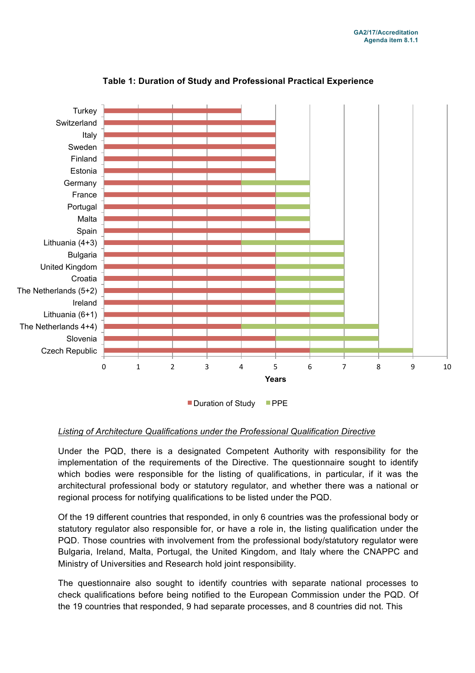

### **Table 1: Duration of Study and Professional Practical Experience**

Duration of Study PPE

#### *Listing of Architecture Qualifications under the Professional Qualification Directive*

Under the PQD, there is a designated Competent Authority with responsibility for the implementation of the requirements of the Directive. The questionnaire sought to identify which bodies were responsible for the listing of qualifications, in particular, if it was the architectural professional body or statutory regulator, and whether there was a national or regional process for notifying qualifications to be listed under the PQD.

Of the 19 different countries that responded, in only 6 countries was the professional body or statutory regulator also responsible for, or have a role in, the listing qualification under the PQD. Those countries with involvement from the professional body/statutory regulator were Bulgaria, Ireland, Malta, Portugal, the United Kingdom, and Italy where the CNAPPC and Ministry of Universities and Research hold joint responsibility.

The questionnaire also sought to identify countries with separate national processes to check qualifications before being notified to the European Commission under the PQD. Of the 19 countries that responded, 9 had separate processes, and 8 countries did not. This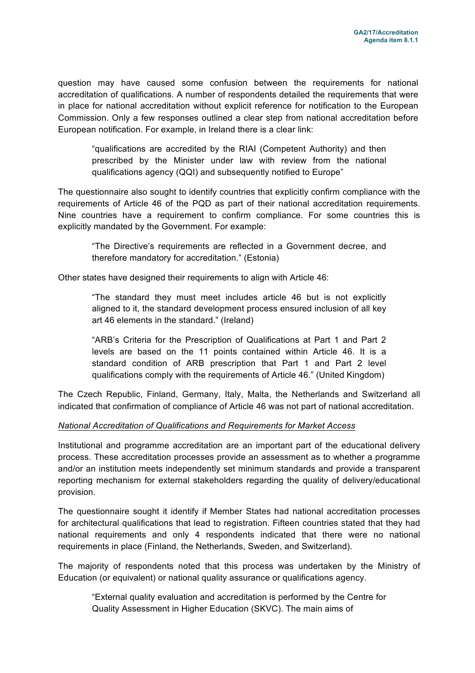question may have caused some confusion between the requirements for national accreditation of qualifications. A number of respondents detailed the requirements that were in place for national accreditation without explicit reference for notification to the European Commission. Only a few responses outlined a clear step from national accreditation before European notification. For example, in Ireland there is a clear link:

"qualifications are accredited by the RIAI (Competent Authority) and then prescribed by the Minister under law with review from the national qualifications agency (QQI) and subsequently notified to Europe"

The questionnaire also sought to identify countries that explicitly confirm compliance with the requirements of Article 46 of the PQD as part of their national accreditation requirements. Nine countries have a requirement to confirm compliance. For some countries this is explicitly mandated by the Government. For example:

"The Directive's requirements are reflected in a Government decree, and therefore mandatory for accreditation." (Estonia)

Other states have designed their requirements to align with Article 46:

"The standard they must meet includes article 46 but is not explicitly aligned to it, the standard development process ensured inclusion of all key art 46 elements in the standard." (Ireland)

"ARB's Criteria for the Prescription of Qualifications at Part 1 and Part 2 levels are based on the 11 points contained within Article 46. It is a standard condition of ARB prescription that Part 1 and Part 2 level qualifications comply with the requirements of Article 46." (United Kingdom)

The Czech Republic, Finland, Germany, Italy, Malta, the Netherlands and Switzerland all indicated that confirmation of compliance of Article 46 was not part of national accreditation.

#### *National Accreditation of Qualifications and Requirements for Market Access*

Institutional and programme accreditation are an important part of the educational delivery process. These accreditation processes provide an assessment as to whether a programme and/or an institution meets independently set minimum standards and provide a transparent reporting mechanism for external stakeholders regarding the quality of delivery/educational provision.

The questionnaire sought it identify if Member States had national accreditation processes for architectural qualifications that lead to registration. Fifteen countries stated that they had national requirements and only 4 respondents indicated that there were no national requirements in place (Finland, the Netherlands, Sweden, and Switzerland).

The majority of respondents noted that this process was undertaken by the Ministry of Education (or equivalent) or national quality assurance or qualifications agency.

"External quality evaluation and accreditation is performed by the Centre for Quality Assessment in Higher Education (SKVC). The main aims of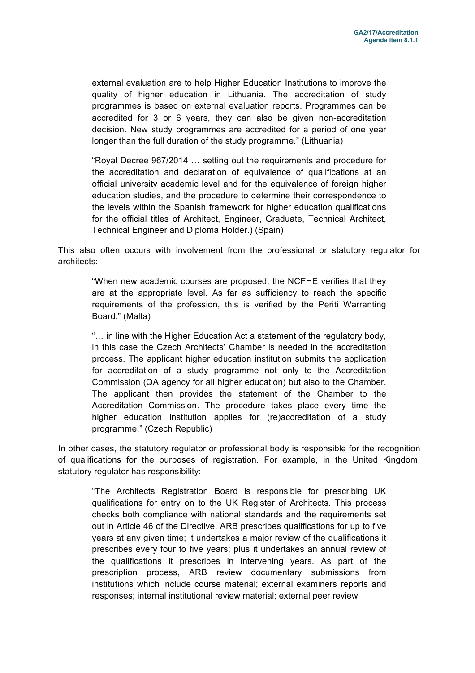external evaluation are to help Higher Education Institutions to improve the quality of higher education in Lithuania. The accreditation of study programmes is based on external evaluation reports. Programmes can be accredited for 3 or 6 years, they can also be given non-accreditation decision. New study programmes are accredited for a period of one year longer than the full duration of the study programme." (Lithuania)

"Royal Decree 967/2014 … setting out the requirements and procedure for the accreditation and declaration of equivalence of qualifications at an official university academic level and for the equivalence of foreign higher education studies, and the procedure to determine their correspondence to the levels within the Spanish framework for higher education qualifications for the official titles of Architect, Engineer, Graduate, Technical Architect, Technical Engineer and Diploma Holder.) (Spain)

This also often occurs with involvement from the professional or statutory regulator for architects:

"When new academic courses are proposed, the NCFHE verifies that they are at the appropriate level. As far as sufficiency to reach the specific requirements of the profession, this is verified by the Periti Warranting Board." (Malta)

"… in line with the Higher Education Act a statement of the regulatory body, in this case the Czech Architects' Chamber is needed in the accreditation process. The applicant higher education institution submits the application for accreditation of a study programme not only to the Accreditation Commission (QA agency for all higher education) but also to the Chamber. The applicant then provides the statement of the Chamber to the Accreditation Commission. The procedure takes place every time the higher education institution applies for (re)accreditation of a study programme." (Czech Republic)

In other cases, the statutory regulator or professional body is responsible for the recognition of qualifications for the purposes of registration. For example, in the United Kingdom, statutory regulator has responsibility:

"The Architects Registration Board is responsible for prescribing UK qualifications for entry on to the UK Register of Architects. This process checks both compliance with national standards and the requirements set out in Article 46 of the Directive. ARB prescribes qualifications for up to five years at any given time; it undertakes a major review of the qualifications it prescribes every four to five years; plus it undertakes an annual review of the qualifications it prescribes in intervening years. As part of the prescription process, ARB review documentary submissions from institutions which include course material; external examiners reports and responses; internal institutional review material; external peer review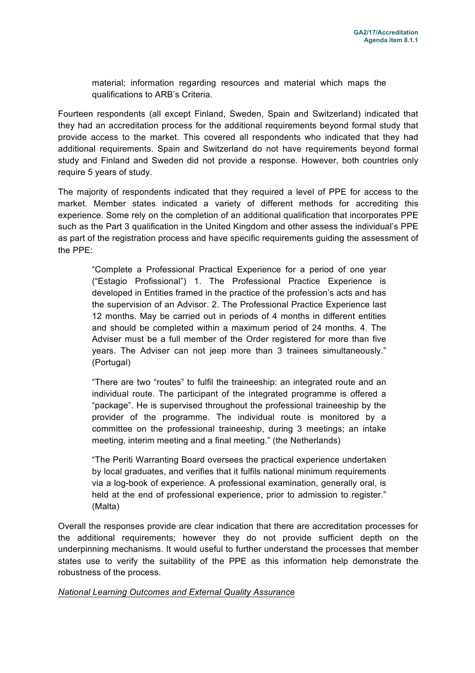material; information regarding resources and material which maps the qualifications to ARB's Criteria.

Fourteen respondents (all except Finland, Sweden, Spain and Switzerland) indicated that they had an accreditation process for the additional requirements beyond formal study that provide access to the market. This covered all respondents who indicated that they had additional requirements. Spain and Switzerland do not have requirements beyond formal study and Finland and Sweden did not provide a response. However, both countries only require 5 years of study.

The majority of respondents indicated that they required a level of PPE for access to the market. Member states indicated a variety of different methods for accrediting this experience. Some rely on the completion of an additional qualification that incorporates PPE such as the Part 3 qualification in the United Kingdom and other assess the individual's PPE as part of the registration process and have specific requirements guiding the assessment of the PPE:

"Complete a Professional Practical Experience for a period of one year ("Estagio Profissional") 1. The Professional Practice Experience is developed in Entities framed in the practice of the profession's acts and has the supervision of an Advisor. 2. The Professional Practice Experience last 12 months. May be carried out in periods of 4 months in different entities and should be completed within a maximum period of 24 months. 4. The Adviser must be a full member of the Order registered for more than five years. The Adviser can not jeep more than 3 trainees simultaneously." (Portugal)

"There are two "routes" to fulfil the traineeship: an integrated route and an individual route. The participant of the integrated programme is offered a "package". He is supervised throughout the professional traineeship by the provider of the programme. The individual route is monitored by a committee on the professional traineeship, during 3 meetings; an intake meeting, interim meeting and a final meeting." (the Netherlands)

"The Periti Warranting Board oversees the practical experience undertaken by local graduates, and verifies that it fulfils national minimum requirements via a log-book of experience. A professional examination, generally oral, is held at the end of professional experience, prior to admission to register." (Malta)

Overall the responses provide are clear indication that there are accreditation processes for the additional requirements; however they do not provide sufficient depth on the underpinning mechanisms. It would useful to further understand the processes that member states use to verify the suitability of the PPE as this information help demonstrate the robustness of the process.

#### *National Learning Outcomes and External Quality Assurance*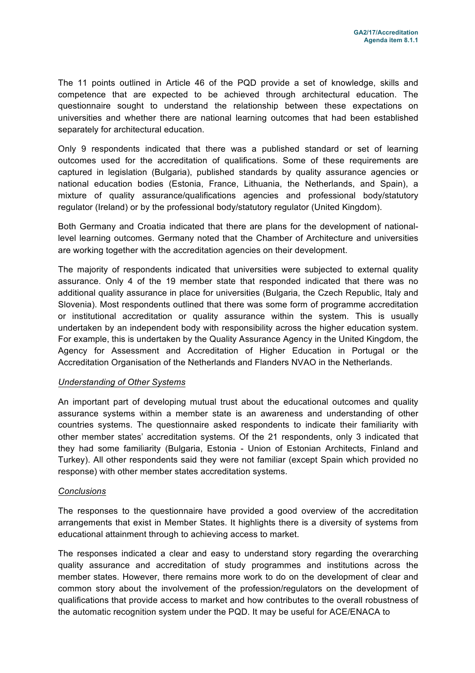The 11 points outlined in Article 46 of the PQD provide a set of knowledge, skills and competence that are expected to be achieved through architectural education. The questionnaire sought to understand the relationship between these expectations on universities and whether there are national learning outcomes that had been established separately for architectural education.

Only 9 respondents indicated that there was a published standard or set of learning outcomes used for the accreditation of qualifications. Some of these requirements are captured in legislation (Bulgaria), published standards by quality assurance agencies or national education bodies (Estonia, France, Lithuania, the Netherlands, and Spain), a mixture of quality assurance/qualifications agencies and professional body/statutory regulator (Ireland) or by the professional body/statutory regulator (United Kingdom).

Both Germany and Croatia indicated that there are plans for the development of nationallevel learning outcomes. Germany noted that the Chamber of Architecture and universities are working together with the accreditation agencies on their development.

The majority of respondents indicated that universities were subjected to external quality assurance. Only 4 of the 19 member state that responded indicated that there was no additional quality assurance in place for universities (Bulgaria, the Czech Republic, Italy and Slovenia). Most respondents outlined that there was some form of programme accreditation or institutional accreditation or quality assurance within the system. This is usually undertaken by an independent body with responsibility across the higher education system. For example, this is undertaken by the Quality Assurance Agency in the United Kingdom, the Agency for Assessment and Accreditation of Higher Education in Portugal or the Accreditation Organisation of the Netherlands and Flanders NVAO in the Netherlands.

#### *Understanding of Other Systems*

An important part of developing mutual trust about the educational outcomes and quality assurance systems within a member state is an awareness and understanding of other countries systems. The questionnaire asked respondents to indicate their familiarity with other member states' accreditation systems. Of the 21 respondents, only 3 indicated that they had some familiarity (Bulgaria, Estonia - Union of Estonian Architects, Finland and Turkey). All other respondents said they were not familiar (except Spain which provided no response) with other member states accreditation systems.

#### *Conclusions*

The responses to the questionnaire have provided a good overview of the accreditation arrangements that exist in Member States. It highlights there is a diversity of systems from educational attainment through to achieving access to market.

The responses indicated a clear and easy to understand story regarding the overarching quality assurance and accreditation of study programmes and institutions across the member states. However, there remains more work to do on the development of clear and common story about the involvement of the profession/regulators on the development of qualifications that provide access to market and how contributes to the overall robustness of the automatic recognition system under the PQD. It may be useful for ACE/ENACA to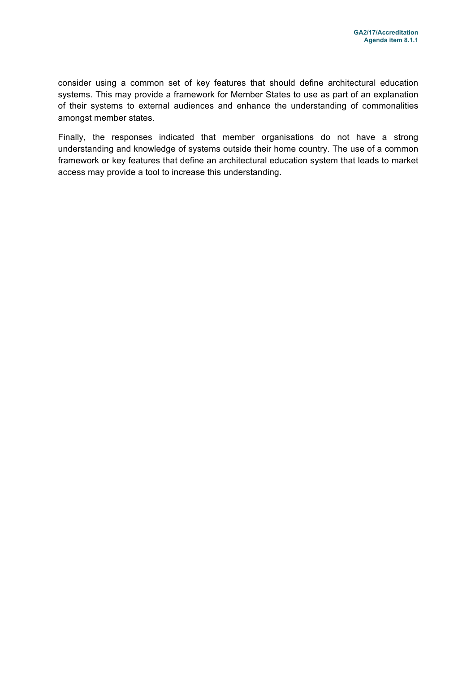consider using a common set of key features that should define architectural education systems. This may provide a framework for Member States to use as part of an explanation of their systems to external audiences and enhance the understanding of commonalities amongst member states.

Finally, the responses indicated that member organisations do not have a strong understanding and knowledge of systems outside their home country. The use of a common framework or key features that define an architectural education system that leads to market access may provide a tool to increase this understanding.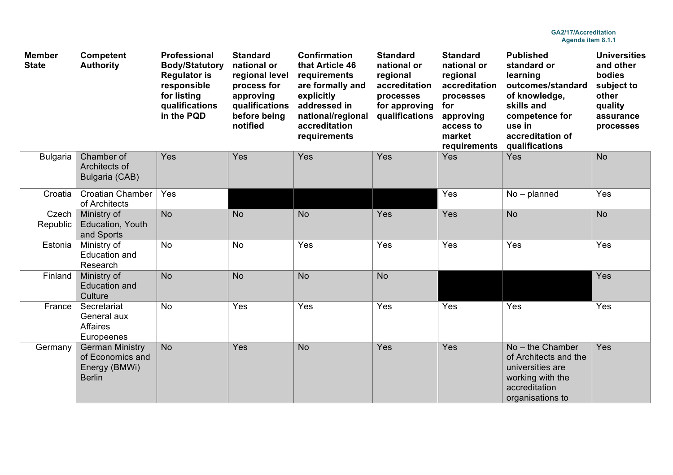| <b>Member</b><br><b>State</b> | <b>Competent</b><br><b>Authority</b>                                         | Professional<br><b>Body/Statutory</b><br><b>Regulator is</b><br>responsible<br>for listing<br>qualifications<br>in the PQD | <b>Standard</b><br>national or<br>regional level<br>process for<br>approving<br>qualifications<br>before being<br>notified | <b>Confirmation</b><br>that Article 46<br>requirements<br>are formally and<br>explicitly<br>addressed in<br>national/regional<br>accreditation<br>requirements | <b>Standard</b><br>national or<br>regional<br>accreditation<br>processes<br>for approving<br>qualifications | <b>Standard</b><br>national or<br>regional<br>accreditation<br>processes<br>for<br>approving<br>access to<br>market<br>requirements | <b>Published</b><br>standard or<br>learning<br>outcomes/standard<br>of knowledge,<br>skills and<br>competence for<br>use in<br>accreditation of<br>qualifications | <b>Universities</b><br>and other<br><b>bodies</b><br>subject to<br>other<br>quality<br>assurance<br>processes |
|-------------------------------|------------------------------------------------------------------------------|----------------------------------------------------------------------------------------------------------------------------|----------------------------------------------------------------------------------------------------------------------------|----------------------------------------------------------------------------------------------------------------------------------------------------------------|-------------------------------------------------------------------------------------------------------------|-------------------------------------------------------------------------------------------------------------------------------------|-------------------------------------------------------------------------------------------------------------------------------------------------------------------|---------------------------------------------------------------------------------------------------------------|
| <b>Bulgaria</b>               | Chamber of<br>Architects of<br>Bulgaria (CAB)                                | Yes                                                                                                                        | Yes                                                                                                                        | Yes                                                                                                                                                            | Yes                                                                                                         | Yes                                                                                                                                 | Yes                                                                                                                                                               | <b>No</b>                                                                                                     |
| Croatia                       | <b>Croatian Chamber</b><br>of Architects                                     | Yes                                                                                                                        |                                                                                                                            |                                                                                                                                                                |                                                                                                             | Yes                                                                                                                                 | $No$ – planned                                                                                                                                                    | Yes                                                                                                           |
| Czech<br>Republic             | Ministry of<br>Education, Youth<br>and Sports                                | <b>No</b>                                                                                                                  | <b>No</b>                                                                                                                  | <b>No</b>                                                                                                                                                      | Yes                                                                                                         | Yes                                                                                                                                 | <b>No</b>                                                                                                                                                         | <b>No</b>                                                                                                     |
| Estonia                       | Ministry of<br>Education and<br>Research                                     | <b>No</b>                                                                                                                  | <b>No</b>                                                                                                                  | Yes                                                                                                                                                            | Yes                                                                                                         | Yes                                                                                                                                 | Yes                                                                                                                                                               | Yes                                                                                                           |
| Finland                       | Ministry of<br><b>Education and</b><br>Culture                               | <b>No</b>                                                                                                                  | <b>No</b>                                                                                                                  | <b>No</b>                                                                                                                                                      | <b>No</b>                                                                                                   |                                                                                                                                     |                                                                                                                                                                   | Yes                                                                                                           |
| France                        | Secretariat<br>General aux<br><b>Affaires</b><br>Europeenes                  | <b>No</b>                                                                                                                  | Yes                                                                                                                        | Yes                                                                                                                                                            | Yes                                                                                                         | Yes                                                                                                                                 | Yes                                                                                                                                                               | Yes                                                                                                           |
| Germany                       | <b>German Ministry</b><br>of Economics and<br>Energy (BMWi)<br><b>Berlin</b> | <b>No</b>                                                                                                                  | Yes                                                                                                                        | <b>No</b>                                                                                                                                                      | Yes                                                                                                         | Yes                                                                                                                                 | No - the Chamber<br>of Architects and the<br>universities are<br>working with the<br>accreditation<br>organisations to                                            | Yes                                                                                                           |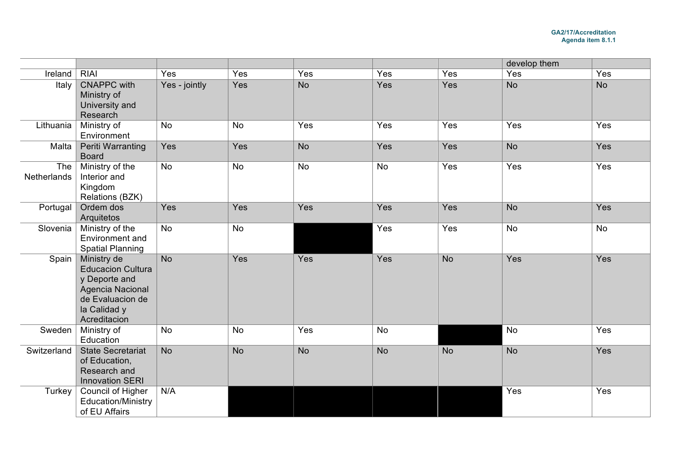|                    |                                                                                                                                  |                |           |           |           |           | develop them |           |
|--------------------|----------------------------------------------------------------------------------------------------------------------------------|----------------|-----------|-----------|-----------|-----------|--------------|-----------|
| Ireland            | <b>RIAI</b>                                                                                                                      | Yes            | Yes       | Yes       | Yes       | Yes       | Yes          | Yes       |
| Italy              | <b>CNAPPC</b> with<br>Ministry of<br>University and<br>Research                                                                  | Yes - jointly  | Yes       | <b>No</b> | Yes       | Yes       | <b>No</b>    | <b>No</b> |
| Lithuania          | Ministry of<br>Environment                                                                                                       | <b>No</b>      | <b>No</b> | Yes       | Yes       | Yes       | Yes          | Yes       |
| Malta              | <b>Periti Warranting</b><br><b>Board</b>                                                                                         | Yes            | Yes       | <b>No</b> | Yes       | Yes       | <b>No</b>    | Yes       |
| The<br>Netherlands | Ministry of the<br>Interior and<br>Kingdom<br>Relations (BZK)                                                                    | <b>No</b>      | <b>No</b> | <b>No</b> | <b>No</b> | Yes       | Yes          | Yes       |
| Portugal           | Ordem dos<br>Arquitetos                                                                                                          | Yes            | Yes       | Yes       | Yes       | Yes       | <b>No</b>    | Yes       |
| Slovenia           | Ministry of the<br>Environment and<br><b>Spatial Planning</b>                                                                    | <b>No</b>      | <b>No</b> |           | Yes       | Yes       | <b>No</b>    | No        |
| Spain $ $          | Ministry de<br><b>Educacion Cultura</b><br>y Deporte and<br>Agencia Nacional<br>de Evaluacion de<br>la Calidad y<br>Acreditacion | N <sub>o</sub> | Yes       | Yes       | Yes       | <b>No</b> | Yes          | Yes       |
| Sweden             | Ministry of<br>Education                                                                                                         | No             | No        | Yes       | <b>No</b> |           | <b>No</b>    | Yes       |
| Switzerland        | <b>State Secretariat</b><br>of Education,<br>Research and<br><b>Innovation SERI</b>                                              | <b>No</b>      | <b>No</b> | <b>No</b> | <b>No</b> | <b>No</b> | <b>No</b>    | Yes       |
| Turkey             | <b>Council of Higher</b><br><b>Education/Ministry</b><br>of EU Affairs                                                           | N/A            |           |           |           |           | Yes          | Yes       |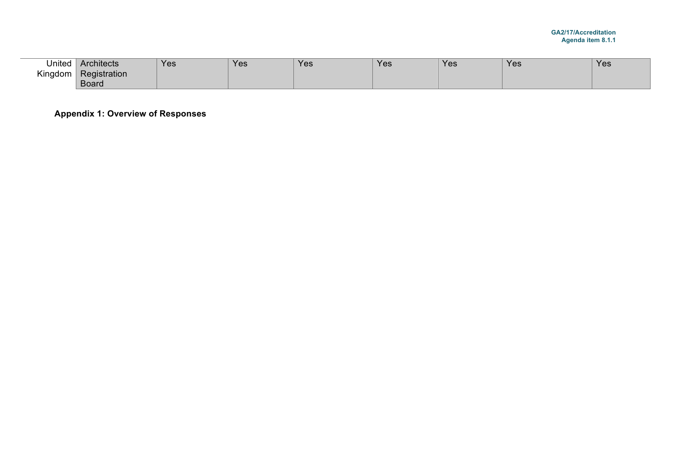| United       | Architects   | <b>Yes</b> | Yes. | Yes | Yes | <b>Yes</b> | Yes | Yes |
|--------------|--------------|------------|------|-----|-----|------------|-----|-----|
| Kingdom<br>ີ | Registration |            |      |     |     |            |     |     |
|              | <b>Board</b> |            |      |     |     |            |     |     |

**Appendix 1: Overview of Responses**